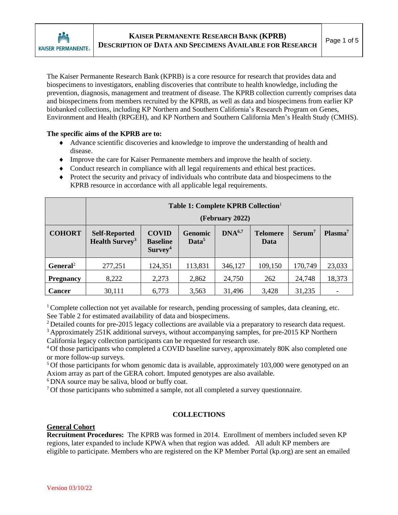

The Kaiser Permanente Research Bank (KPRB) is a core resource for research that provides data and biospecimens to investigators, enabling discoveries that contribute to health knowledge, including the prevention, diagnosis, management and treatment of disease. The KPRB collection currently comprises data and biospecimens from members recruited by the KPRB, as well as data and biospecimens from earlier KP biobanked collections, including KP Northern and Southern California's Research Program on Genes, Environment and Health (RPGEH), and KP Northern and Southern California Men's Health Study (CMHS).

### **The specific aims of the KPRB are to:**

- Advance scientific discoveries and knowledge to improve the understanding of health and disease.
- Improve the care for Kaiser Permanente members and improve the health of society.
- Conduct research in compliance with all legal requirements and ethical best practices.
- Protect the security and privacy of individuals who contribute data and biospecimens to the KPRB resource in accordance with all applicable legal requirements.

|                      | Table 1: Complete KPRB Collection <sup>1</sup><br>(February 2022) |                                                        |                                     |                    |                         |                    |                     |  |  |  |
|----------------------|-------------------------------------------------------------------|--------------------------------------------------------|-------------------------------------|--------------------|-------------------------|--------------------|---------------------|--|--|--|
| <b>COHORT</b>        | <b>Self-Reported</b><br><b>Health Survey<sup>3</sup></b>          | <b>COVID</b><br><b>Baseline</b><br>Survey <sup>4</sup> | <b>Genomic</b><br>Data <sup>5</sup> | DNA <sup>6,7</sup> | <b>Telomere</b><br>Data | Serum <sup>7</sup> | Plasma <sup>7</sup> |  |  |  |
| General <sup>2</sup> | 277,251                                                           | 124,351                                                | 113,831                             | 346,127            | 109,150                 | 170,749            | 23,033              |  |  |  |
| <b>Pregnancy</b>     | 8,222                                                             | 2,273                                                  | 2,862                               | 24,750             | 262                     | 24,748             | 18,373              |  |  |  |
| <b>Cancer</b>        | 30,111                                                            | 6,773                                                  | 3,563                               | 31,496             | 3,428                   | 31,235             |                     |  |  |  |

<sup>1</sup> Complete collection not yet available for research, pending processing of samples, data cleaning, etc. See Table 2 for estimated availability of data and biospecimens.

<sup>2</sup> Detailed counts for pre-2015 legacy collections are available via a preparatory to research data request.

<sup>3</sup> Approximately 251K additional surveys, without accompanying samples, for pre-2015 KP Northern California legacy collection participants can be requested for research use.

<sup>4</sup> Of those participants who completed a COVID baseline survey, approximately 80K also completed one or more follow-up surveys.

<sup>5</sup> Of those participants for whom genomic data is available, approximately 103,000 were genotyped on an Axiom array as part of the GERA cohort. Imputed genotypes are also available.

<sup>6</sup> DNA source may be saliva, blood or buffy coat.

<sup>7</sup> Of those participants who submitted a sample, not all completed a survey questionnaire.

### **COLLECTIONS**

### **General Cohort**

**Recruitment Procedures:** The KPRB was formed in 2014. Enrollment of members included seven KP regions, later expanded to include KPWA when that region was added. All adult KP members are eligible to participate. Members who are registered on the KP Member Portal (kp.org) are sent an emailed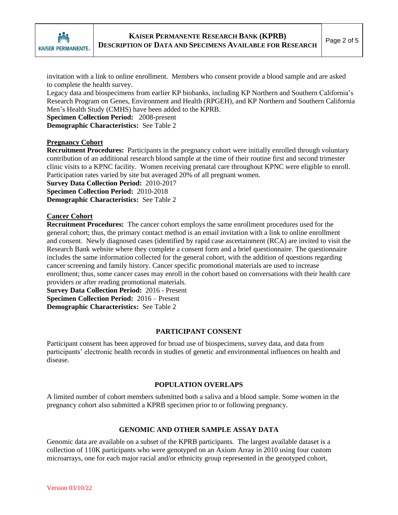

invitation with a link to online enrollment. Members who consent provide a blood sample and are asked to complete the health survey.

Legacy data and biospecimens from earlier KP biobanks, including KP Northern and Southern California's Research Program on Genes, Environment and Health (RPGEH), and KP Northern and Southern California Men's Health Study (CMHS) have been added to the KPRB.

**Specimen Collection Period:** 2008-present **Demographic Characteristics:** See Table 2

#### **Pregnancy Cohort**

**Recruitment Procedures:** Participants in the pregnancy cohort were initially enrolled through voluntary contribution of an additional research blood sample at the time of their routine first and second trimester clinic visits to a KPNC facility. Women receiving prenatal care throughout KPNC were eligible to enroll. Participation rates varied by site but averaged 20% of all pregnant women.

**Survey Data Collection Period:** 2010-2017

**Specimen Collection Period:** 2010-2018

**Demographic Characteristics:** See Table 2

# **Cancer Cohort**

**Recruitment Procedures:** The cancer cohort employs the same enrollment procedures used for the general cohort; thus, the primary contact method is an email invitation with a link to online enrollment and consent. Newly diagnosed cases (identified by rapid case ascertainment (RCA) are invited to visit the Research Bank website where they complete a consent form and a brief questionnaire. The questionnaire includes the same information collected for the general cohort, with the addition of questions regarding cancer screening and family history. Cancer specific promotional materials are used to increase enrollment; thus, some cancer cases may enroll in the cohort based on conversations with their health care providers or after reading promotional materials.

**Survey Data Collection Period:** 2016 - Present **Specimen Collection Period:** 2016 – Present **Demographic Characteristics:** See Table 2

### **PARTICIPANT CONSENT**

Participant consent has been approved for broad use of biospecimens, survey data, and data from participants' electronic health records in studies of genetic and environmental influences on health and disease.

#### **POPULATION OVERLAPS**

A limited number of cohort members submitted both a saliva and a blood sample. Some women in the pregnancy cohort also submitted a KPRB specimen prior to or following pregnancy.

### **GENOMIC AND OTHER SAMPLE ASSAY DATA**

Genomic data are available on a subset of the KPRB participants. The largest available dataset is a collection of 110K participants who were genotyped on an Axiom Array in 2010 using four custom microarrays, one for each major racial and/or ethnicity group represented in the genotyped cohort,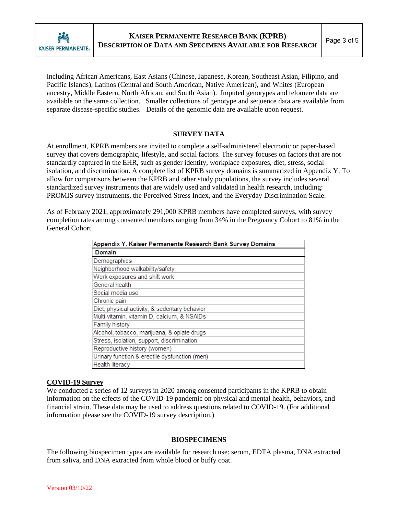

including African Americans, East Asians (Chinese, Japanese, Korean, Southeast Asian, Filipino, and Pacific Islands), Latinos (Central and South American, Native American), and Whites (European ancestry, Middle Eastern, North African, and South Asian). Imputed genotypes and telomere data are available on the same collection. Smaller collections of genotype and sequence data are available from separate disease-specific studies. Details of the genomic data are available upon request.

#### **SURVEY DATA**

At enrollment, KPRB members are invited to complete a self-administered electronic or paper-based survey that covers demographic, lifestyle, and social factors. The survey focuses on factors that are not standardly captured in the EHR, such as gender identity, workplace exposures, diet, stress, social isolation, and discrimination. A complete list of KPRB survey domains is summarized in Appendix Y. To allow for comparisons between the KPRB and other study populations, the survey includes several standardized survey instruments that are widely used and validated in health research, including: PROMIS survey instruments, the Perceived Stress Index, and the Everyday Discrimination Scale.

As of February 2021, approximately 291,000 KPRB members have completed surveys, with survey completion rates among consented members ranging from 34% in the Pregnancy Cohort to 81% in the General Cohort.

| Appendix Y. Kaiser Permanente Research Bank Survey Domains |  |  |  |  |  |
|------------------------------------------------------------|--|--|--|--|--|
| Domain                                                     |  |  |  |  |  |
| Demographics                                               |  |  |  |  |  |
| Neighborhood walkability/safety                            |  |  |  |  |  |
| Work exposures and shift work                              |  |  |  |  |  |
| General health                                             |  |  |  |  |  |
| Social media use                                           |  |  |  |  |  |
| Chronic pain                                               |  |  |  |  |  |
| Diet, physical activity, & sedentary behavior              |  |  |  |  |  |
| Multi-vitamin, vitamin D, calcium, & NSAIDs                |  |  |  |  |  |
| Family history                                             |  |  |  |  |  |
| Alcohol, tobacco, marijuana, & opiate drugs                |  |  |  |  |  |
| Stress, isolation, support, discrimination                 |  |  |  |  |  |
| Reproductive history (women)                               |  |  |  |  |  |
| Urinary function & erectile dysfunction (men)              |  |  |  |  |  |
| Health literacy                                            |  |  |  |  |  |

### **COVID-19 Survey**

We conducted a series of 12 surveys in 2020 among consented participants in the KPRB to obtain information on the effects of the COVID-19 pandemic on physical and mental health, behaviors, and financial strain. These data may be used to address questions related to COVID-19. (For additional information please see the COVID-19 survey description.)

#### **BIOSPECIMENS**

The following biospecimen types are available for research use: serum, EDTA plasma, DNA extracted from saliva, and DNA extracted from whole blood or buffy coat.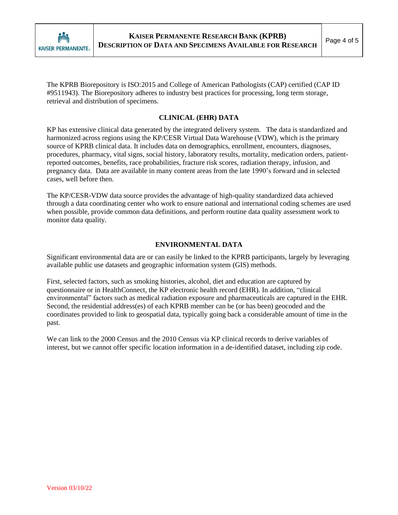

The KPRB Biorepository is ISO:2015 and College of American Pathologists (CAP) certified (CAP ID #9511943). The Biorepository adheres to industry best practices for processing, long term storage, retrieval and distribution of specimens.

# **CLINICAL (EHR) DATA**

KP has extensive clinical data generated by the integrated delivery system. The data is standardized and harmonized across regions using the KP/CESR Virtual Data Warehouse (VDW), which is the primary source of KPRB clinical data. It includes data on demographics, enrollment, encounters, diagnoses, procedures, pharmacy, vital signs, social history, laboratory results, mortality, medication orders, patientreported outcomes, benefits, race probabilities, fracture risk scores, radiation therapy, infusion, and pregnancy data. Data are available in many content areas from the late 1990's forward and in selected cases, well before then.

The KP/CESR-VDW data source provides the advantage of high-quality standardized data achieved through a data coordinating center who work to ensure national and international coding schemes are used when possible, provide common data definitions, and perform routine data quality assessment work to monitor data quality.

# **ENVIRONMENTAL DATA**

Significant environmental data are or can easily be linked to the KPRB participants, largely by leveraging available public use datasets and geographic information system (GIS) methods.

First, selected factors, such as smoking histories, alcohol, diet and education are captured by questionnaire or in HealthConnect, the KP electronic health record (EHR). In addition, "clinical environmental" factors such as medical radiation exposure and pharmaceuticals are captured in the EHR. Second, the residential address(es) of each KPRB member can be (or has been) geocoded and the coordinates provided to link to geospatial data, typically going back a considerable amount of time in the past.

We can link to the 2000 Census and the 2010 Census via KP clinical records to derive variables of interest, but we cannot offer specific location information in a de-identified dataset, including zip code.